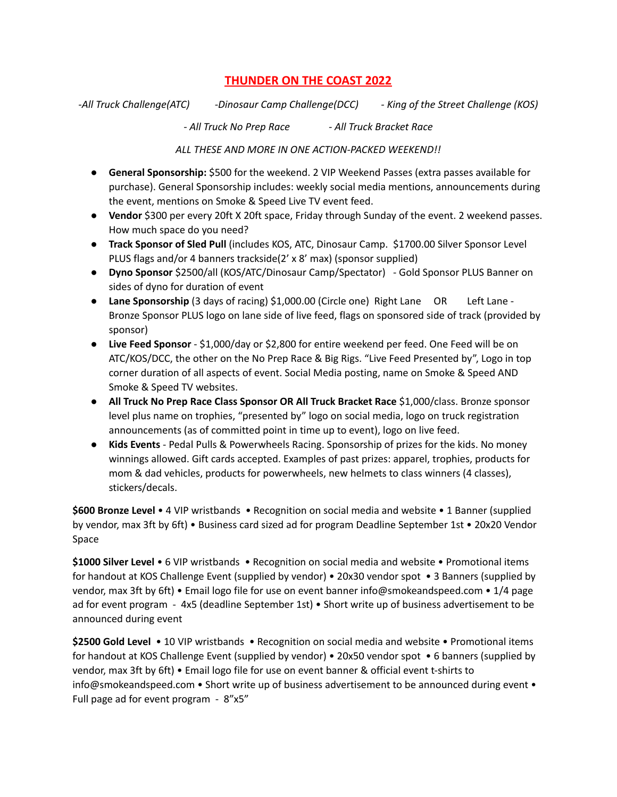# **THUNDER ON THE COAST 2022**

*-All Truck Challenge(ATC) -Dinosaur Camp Challenge(DCC) - King of the Street Challenge (KOS)*

*- All Truck No Prep Race - All Truck Bracket Race*

*ALL THESE AND MORE IN ONE ACTION-PACKED WEEKEND!!*

- **General Sponsorship:** \$500 for the weekend. 2 VIP Weekend Passes (extra passes available for purchase). General Sponsorship includes: weekly social media mentions, announcements during the event, mentions on Smoke & Speed Live TV event feed.
- **Vendor** \$300 per every 20ft X 20ft space, Friday through Sunday of the event. 2 weekend passes. How much space do you need?
- **Track Sponsor of Sled Pull** (includes KOS, ATC, Dinosaur Camp. \$1700.00 Silver Sponsor Level PLUS flags and/or 4 banners trackside(2' x 8' max) (sponsor supplied)
- **Dyno Sponsor** \$2500/all (KOS/ATC/Dinosaur Camp/Spectator) Gold Sponsor PLUS Banner on sides of dyno for duration of event
- **Lane Sponsorship** (3 days of racing) \$1,000.00 (Circle one) Right Lane OR Left Lane -Bronze Sponsor PLUS logo on lane side of live feed, flags on sponsored side of track (provided by sponsor)
- **Live Feed Sponsor** \$1,000/day or \$2,800 for entire weekend per feed. One Feed will be on ATC/KOS/DCC, the other on the No Prep Race & Big Rigs. "Live Feed Presented by", Logo in top corner duration of all aspects of event. Social Media posting, name on Smoke & Speed AND Smoke & Speed TV websites.
- **All Truck No Prep Race Class Sponsor OR All Truck Bracket Race** \$1,000/class. Bronze sponsor level plus name on trophies, "presented by" logo on social media, logo on truck registration announcements (as of committed point in time up to event), logo on live feed.
- **Kids Events** Pedal Pulls & Powerwheels Racing. Sponsorship of prizes for the kids. No money winnings allowed. Gift cards accepted. Examples of past prizes: apparel, trophies, products for mom & dad vehicles, products for powerwheels, new helmets to class winners (4 classes), stickers/decals.

**\$600 Bronze Level** • 4 VIP wristbands • Recognition on social media and website • 1 Banner (supplied by vendor, max 3ft by 6ft) • Business card sized ad for program Deadline September 1st • 20x20 Vendor Space

**\$1000 Silver Level** • 6 VIP wristbands • Recognition on social media and website • Promotional items for handout at KOS Challenge Event (supplied by vendor) • 20x30 vendor spot • 3 Banners (supplied by vendor, max 3ft by 6ft) • Email logo file for use on event banner info@smokeandspeed.com • 1/4 page ad for event program - 4x5 (deadline September 1st) • Short write up of business advertisement to be announced during event

**\$2500 Gold Level** • 10 VIP wristbands • Recognition on social media and website • Promotional items for handout at KOS Challenge Event (supplied by vendor) • 20x50 vendor spot • 6 banners (supplied by vendor, max 3ft by 6ft) • Email logo file for use on event banner & official event t-shirts to info@smokeandspeed.com • Short write up of business advertisement to be announced during event • Full page ad for event program - 8"x5"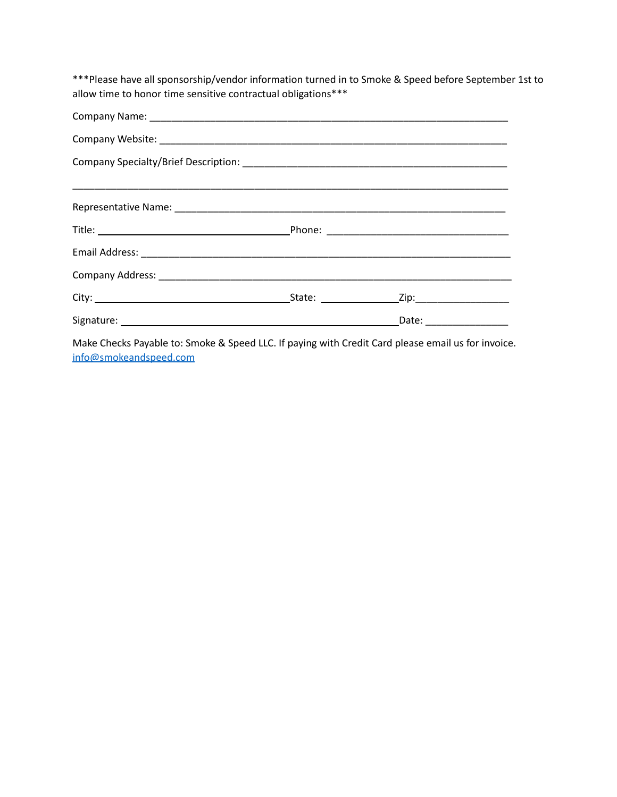\*\*\*Please have all sponsorship/vendor information turned in to Smoke & Speed before September 1st to allow time to honor time sensitive contractual obligations\*\*\*

|  |  | Date: __________________ |  |
|--|--|--------------------------|--|

Make Checks Payable to: Smoke & Speed LLC. If paying with Credit Card please email us for invoice. [info@smokeandspeed.com](mailto:info@smokeandspeed.com)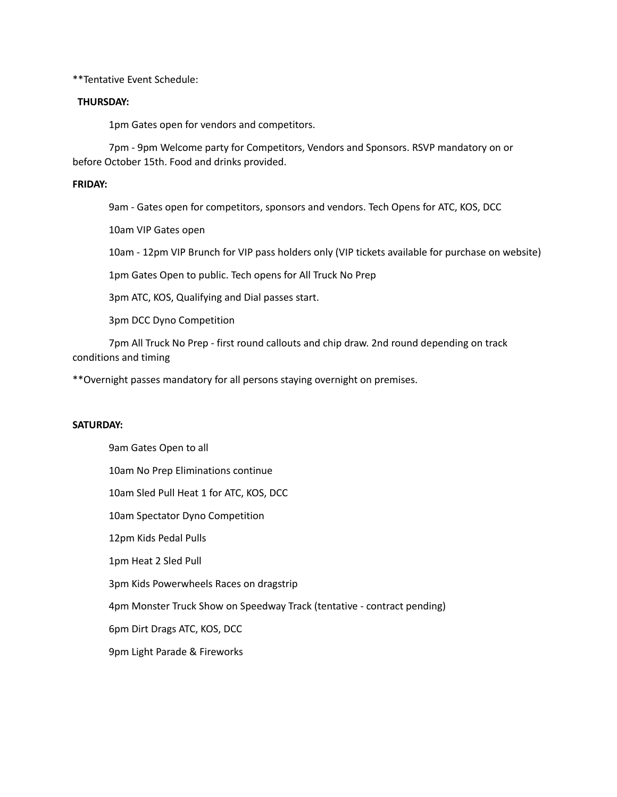\*\*Tentative Event Schedule:

### **THURSDAY:**

1pm Gates open for vendors and competitors.

7pm - 9pm Welcome party for Competitors, Vendors and Sponsors. RSVP mandatory on or before October 15th. Food and drinks provided.

# **FRIDAY:**

9am - Gates open for competitors, sponsors and vendors. Tech Opens for ATC, KOS, DCC

10am VIP Gates open

10am - 12pm VIP Brunch for VIP pass holders only (VIP tickets available for purchase on website)

1pm Gates Open to public. Tech opens for All Truck No Prep

3pm ATC, KOS, Qualifying and Dial passes start.

3pm DCC Dyno Competition

7pm All Truck No Prep - first round callouts and chip draw. 2nd round depending on track conditions and timing

\*\*Overnight passes mandatory for all persons staying overnight on premises.

#### **SATURDAY:**

9am Gates Open to all 10am No Prep Eliminations continue 10am Sled Pull Heat 1 for ATC, KOS, DCC 10am Spectator Dyno Competition 12pm Kids Pedal Pulls 1pm Heat 2 Sled Pull 3pm Kids Powerwheels Races on dragstrip 4pm Monster Truck Show on Speedway Track (tentative - contract pending) 6pm Dirt Drags ATC, KOS, DCC 9pm Light Parade & Fireworks